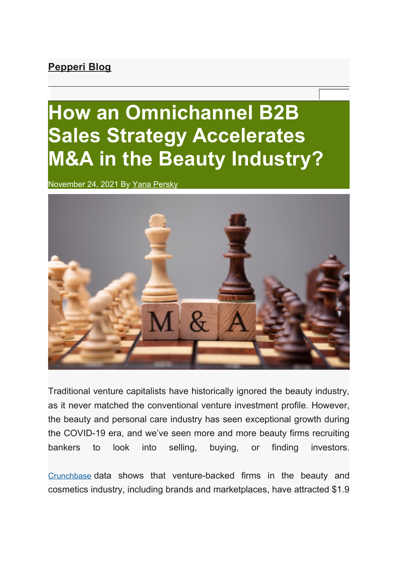## **Pepperi Blog**

## **How an Omnichannel B2B Sales Strategy Accelerates M&A in the Beauty Industry?**

November 24, 2021 By Yana Persky



Traditional venture capitalists have historically ignored the beauty industry, as it never matched the conventional venture investment profile. However, the beauty and personal care industry has seen exceptional growth during the COVID-19 era, and we've seen more and more beauty firms recruiting bankers to look into selling, buying, or finding investors.

Crunchbase data shows that venture-backed firms in the beauty and cosmetics industry, including brands and marketplaces, have attracted \$1.9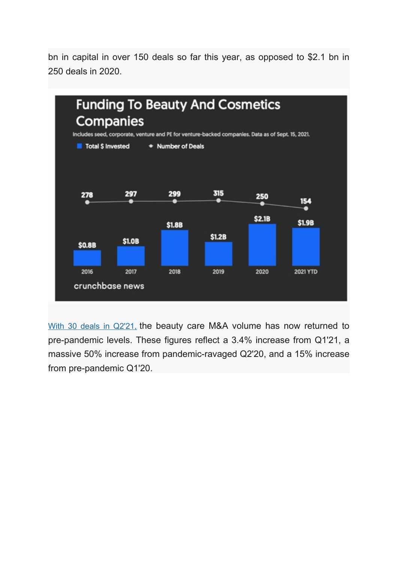bn in capital in over 150 deals so far this year, as opposed to \$2.1 bn in 250 deals in 2020.



With 30 deals in Q2'21, the beauty care M&A volume has now returned to pre-pandemic levels. These figures reflect a 3.4% increase from Q1'21, a massive 50% increase from pandemic-ravaged Q2'20, and a 15% increase from pre-pandemic Q1'20.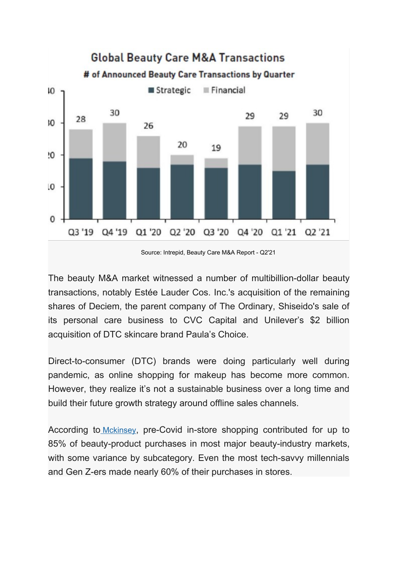

The beauty M&A market witnessed a number of multibillion-dollar beauty transactions, notably Estée Lauder Cos. Inc.'s acquisition of the remaining shares of Deciem, the parent company of The Ordinary, Shiseido's sale of its personal care business to CVC Capital and Unilever's \$2 billion acquisition of DTC skincare brand Paula's Choice.

Direct-to-consumer (DTC) brands were doing particularly well during pandemic, as online shopping for makeup has become more common. However, they realize it's not a sustainable business over a long time and build their future growth strategy around offline sales channels.

According to Mckinsey, pre-Covid in-store shopping contributed for up to 85% of beauty-product purchases in most major beauty-industry markets, with some variance by subcategory. Even the most tech-sayyy millennials and Gen Z-ers made nearly 60% of their purchases in stores.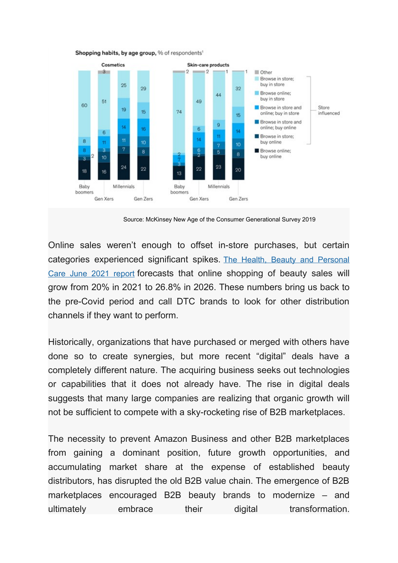

Shopping habits, by age group, % of respondents'

Source: McKinsey New Age of the Consumer Generational Survey 2019

Online sales weren't enough to offset in-store purchases, but certain categories experienced significant spikes. The Health, Beauty and Personal Care June 2021 report forecasts that online shopping of beauty sales will grow from 20% in 2021 to 26.8% in 2026. These numbers bring us back to the pre-Covid period and call DTC brands to look for other distribution channels if they want to perform.

Historically, organizations that have purchased or merged with others have done so to create synergies, but more recent "digital" deals have a completely different nature. The acquiring business seeks out technologies or capabilities that it does not already have. The rise in digital deals suggests that many large companies are realizing that organic growth will not be sufficient to compete with a sky-rocketing rise of B2B marketplaces.

The necessity to prevent Amazon Business and other B2B marketplaces from gaining a dominant position, future growth opportunities, and accumulating market share at the expense of established beauty distributors, has disrupted the old B2B value chain. The emergence of B2B marketplaces encouraged B2B beauty brands to modernize – and ultimately embrace their digital transformation.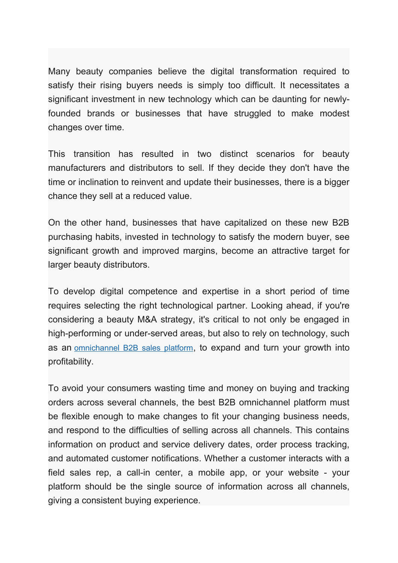Many beauty companies believe the digital transformation required to satisfy their rising buyers needs is simply too difficult. It necessitates a significant investment in new technology which can be daunting for newlyfounded brands or businesses that have struggled to make modest changes over time.

This transition has resulted in two distinct scenarios for beauty manufacturers and distributors to sell. If they decide they don't have the time or inclination to reinvent and update their businesses, there is a bigger chance they sell at a reduced value.

On the other hand, businesses that have capitalized on these new B2B purchasing habits, invested in technology to satisfy the modern buyer, see significant growth and improved margins, become an attractive target for larger beauty distributors.

To develop digital competence and expertise in a short period of time requires selecting the right technological partner. Looking ahead, if you're considering a beauty M&A strategy, it's critical to not only be engaged in high-performing or under-served areas, but also to rely on technology, such as an omnichannel B2B sales platform, to expand and turn your growth into profitability.

To avoid your consumers wasting time and money on buying and tracking orders across several channels, the best B2B omnichannel platform must be flexible enough to make changes to fit your changing business needs, and respond to the difficulties of selling across all channels. This contains information on product and service delivery dates, order process tracking, and automated customer notifications. Whether a customer interacts with a field sales rep, a call-in center, a mobile app, or your website - your platform should be the single source of information across all channels, giving a consistent buying experience.